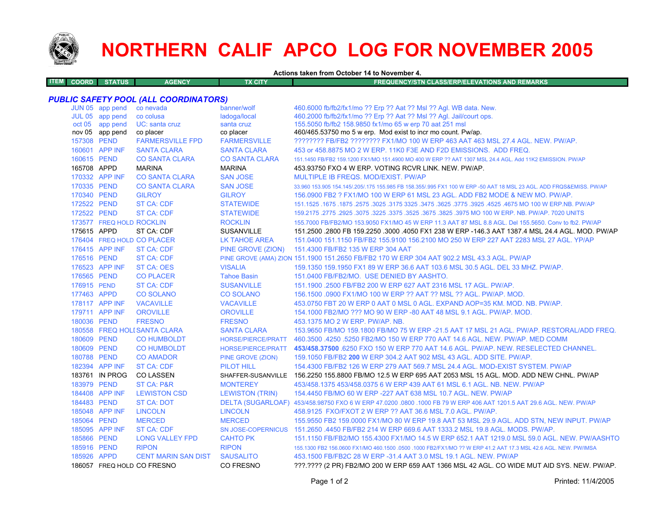

# **NORTHERN CALIF APCO LOG FOR NOVEMBER 2005**

**Actions taken from October 14 to November 4.**

| TEM I | COORD I | <b>STATUS</b> | <b>AGENCY</b> | TX CITY | <b>FREQUENCY/STN CLASS/ERP/ELEVATIONS AND REMARKS</b> |
|-------|---------|---------------|---------------|---------|-------------------------------------------------------|
|       |         |               |               |         |                                                       |
|       |         |               |               |         |                                                       |

## *PUBLIC SAFETY POOL (ALL COORDINATORS)*

| 460.2000 fb/fb2/fx1/mo ?? Erp ?? Aat ?? Msl ?? Agl. Jail/court ops.<br>JUL 05 app pend<br>co colusa<br>ladoga/local<br>155.5050 fb/fb2 158.9850 fx1/mo 65 w erp 70 aat 251 msl<br>oct 05 app pend<br>UC: santa cruz<br>santa cruz<br>nov 05 app pend<br>460/465.53750 mo 5 w erp. Mod exist to incr mo count. Pw/ap.<br>co placer<br>co placer<br>157308 PEND<br><b>FARMERSVILLE FPD</b><br>???????? FB/FB2 ???????? FX1/MO 100 W ERP 463 AAT 463 MSL 27.4 AGL, NEW, PW/AP,<br><b>FARMERSVILLE</b><br>160601 APP INF<br><b>SANTA CLARA</b><br><b>SANTA CLARA</b><br>453 or 458,8875 MO 2 W ERP, 11K0 F3E AND F2D EMISSIONS. ADD FREQ.<br>160615 PEND<br><b>CO SANTA CLARA</b><br><b>CO SANTA CLARA</b><br>165708 APPD<br><b>MARINA</b><br><b>MARINA</b><br>453.93750 FXO 4 W ERP. VOTING RCVR LINK, NEW, PW/AP.<br>170332 APP INF<br><b>CO SANTA CLARA</b><br><b>SAN JOSE</b><br>MULTIPLE IB FREQS. MOD/EXIST. PW/AP<br>170335 PEND<br><b>CO SANTA CLARA</b><br><b>SAN JOSE</b><br>170340 PEND<br><b>GILROY</b><br><b>GILROY</b><br>172522 PEND<br>ST CA: CDF<br><b>STATEWIDE</b><br>172522 PEND<br><b>ST CA: CDF</b><br><b>STATEWIDE</b><br>173577 FREQ HOLD ROCKLIN<br><b>ROCKLIN</b><br>175615 APPD<br>ST CA: CDF<br><b>SUSANVILLE</b><br>176404 FREQ HOLD CO PLACER<br>LK TAHOE AREA<br>176415 APP INF<br>ST CA: CDF<br>PINE GROVE (ZION)<br>151.4300 FB/FB2 135 W ERP 304 AAT<br>176516 PEND<br>ST CA: CDF<br>PINE GROVE (AMA) ZION 151.1900 151.2650 FB/FB2 170 W ERP 304 AAT 902.2 MSL 43.3 AGL. PW/AP<br>176523 APP INF<br>ST CA: OES<br><b>VISALIA</b><br>176565 PEND<br><b>CO PLACER</b><br><b>Tahoe Basin</b><br>151.0400 FB/FB2/MO. USE DENIED BY AASHTO.<br><b>ST CA: CDF</b><br>176915 PEND<br><b>SUSANVILLE</b><br>151.1900 .2500 FB/FB2 200 W ERP 627 AAT 2316 MSL 17 AGL, PW/AP.<br>177463 APPD<br><b>CO SOLANO</b><br><b>CO SOLANO</b><br>156,1500,0900 FX1/MO 100 W ERP ?? AAT ?? MSL ?? AGL, PW/AP, MOD.<br>178117 APP INF<br><b>VACAVILLE</b><br><b>VACAVILLE</b><br>179711 APP INF<br><b>OROVILLE</b><br><b>OROVILLE</b><br>154,1000 FB2/MO ??? MO 90 W ERP -80 AAT 48 MSL 9.1 AGL, PW/AP, MOD.<br>180036 PEND<br><b>FRESNO</b><br><b>FRESNO</b><br>453.1375 MO 2 W ERP. PW/AP. NB.<br>180558 FREQ HOLI SANTA CLARA<br><b>SANTA CLARA</b><br>180609 PEND<br><b>CO HUMBOLDT</b><br>HORSE/PIERCE/PRATT<br>180609 PEND<br><b>CO HUMBOLDT</b><br><b>HORSE/PIERCE/PRATT</b><br>180788 PEND<br><b>CO AMADOR</b><br>159.1050 FB/FB2 200 W ERP 304.2 AAT 902 MSL 43 AGL, ADD SITE, PW/AP.<br>PINE GROVE (ZION)<br>182394 APP INF<br><b>ST CA: CDF</b><br><b>PILOT HILL</b><br>183761 IN PROG<br><b>CO LASSEN</b><br>SHAFFER-SUSANVILLE 156.2250 155.8800 FB/MO 12.5 W ERP 695 AAT 2053 MSL 15 AGL. MOD. ADD NEW CHNL. PW/AP<br>183979 PEND<br><b>ST CA: P&amp;R</b><br><b>MONTEREY</b><br>453/458.1375 453/458.0375 6 W ERP 439 AAT 61 MSL 6.1 AGL. NB. NEW. PW/AP<br>184408 APP INF<br><b>LEWISTON CSD</b><br><b>LEWISTON (TRIN)</b><br>154,4450 FB/MO 60 W ERP -227 AAT 638 MSL 10.7 AGL, NEW, PW/AP<br>184483 PEND<br><b>ST CA: DOT</b><br>DELTA (SUGARLOAF) 453/458.98750 FXO 6 W ERP 47.0200 .0800 .1000 FB 79 W ERP 406 AAT 1201.5 AAT 29.6 AGL. NEW. PW/AP<br>185048 APP INF<br><b>LINCOLN</b><br><b>LINCOLN</b><br>458.9125 FXO/FXOT 2 W ERP ?? AAT 36.6 MSL 7.0 AGL. PW/AP.<br>185064 PEND<br><b>MERCED</b><br><b>MERCED</b><br>185095 APP INF<br><b>ST CA: CDF</b><br>SN JOSE-COPERNICUS 151.2650 .4450 FB/FB2 214 W ERP 669.6 AAT 1333.2 MSL 19.8 AGL. MODS. PW/AP.<br>185866 PEND<br><b>CAHTO PK</b><br><b>LONG VALLEY FPD</b><br>185916 PEND<br><b>RIPON</b><br><b>RIPON</b><br>185926 APPD<br><b>CENT MARIN SAN DIST</b><br><b>SAUSALITO</b><br>453.1500 FB/FB2C 28 W ERP -31.4 AAT 3.0 MSL 19.1 AGL, NEW, PW/AP<br>186057 FREQ HOLD CO FRESNO<br><b>CO FRESNO</b> | JUN 05 app pend | co nevada | banner/wolf | 460.6000 fb/fb2/fx1/mo ?? Erp ?? Aat ?? Msl ?? Agl. WB data. New.                                                   |
|------------------------------------------------------------------------------------------------------------------------------------------------------------------------------------------------------------------------------------------------------------------------------------------------------------------------------------------------------------------------------------------------------------------------------------------------------------------------------------------------------------------------------------------------------------------------------------------------------------------------------------------------------------------------------------------------------------------------------------------------------------------------------------------------------------------------------------------------------------------------------------------------------------------------------------------------------------------------------------------------------------------------------------------------------------------------------------------------------------------------------------------------------------------------------------------------------------------------------------------------------------------------------------------------------------------------------------------------------------------------------------------------------------------------------------------------------------------------------------------------------------------------------------------------------------------------------------------------------------------------------------------------------------------------------------------------------------------------------------------------------------------------------------------------------------------------------------------------------------------------------------------------------------------------------------------------------------------------------------------------------------------------------------------------------------------------------------------------------------------------------------------------------------------------------------------------------------------------------------------------------------------------------------------------------------------------------------------------------------------------------------------------------------------------------------------------------------------------------------------------------------------------------------------------------------------------------------------------------------------------------------------------------------------------------------------------------------------------------------------------------------------------------------------------------------------------------------------------------------------------------------------------------------------------------------------------------------------------------------------------------------------------------------------------------------------------------------------------------------------------------------------------------------------------------------------------------------------------------------------------------------------------------------------------------------------------------------------------------------------------------------------------------------------------------------------------------------------------------------------------------------------------------------------------------------------------------------------------------------------------------------------------------------------------------------------------------------------------------------------------------------------------------------------------|-----------------|-----------|-------------|---------------------------------------------------------------------------------------------------------------------|
|                                                                                                                                                                                                                                                                                                                                                                                                                                                                                                                                                                                                                                                                                                                                                                                                                                                                                                                                                                                                                                                                                                                                                                                                                                                                                                                                                                                                                                                                                                                                                                                                                                                                                                                                                                                                                                                                                                                                                                                                                                                                                                                                                                                                                                                                                                                                                                                                                                                                                                                                                                                                                                                                                                                                                                                                                                                                                                                                                                                                                                                                                                                                                                                                                                                                                                                                                                                                                                                                                                                                                                                                                                                                                                                                                                                                |                 |           |             |                                                                                                                     |
|                                                                                                                                                                                                                                                                                                                                                                                                                                                                                                                                                                                                                                                                                                                                                                                                                                                                                                                                                                                                                                                                                                                                                                                                                                                                                                                                                                                                                                                                                                                                                                                                                                                                                                                                                                                                                                                                                                                                                                                                                                                                                                                                                                                                                                                                                                                                                                                                                                                                                                                                                                                                                                                                                                                                                                                                                                                                                                                                                                                                                                                                                                                                                                                                                                                                                                                                                                                                                                                                                                                                                                                                                                                                                                                                                                                                |                 |           |             |                                                                                                                     |
|                                                                                                                                                                                                                                                                                                                                                                                                                                                                                                                                                                                                                                                                                                                                                                                                                                                                                                                                                                                                                                                                                                                                                                                                                                                                                                                                                                                                                                                                                                                                                                                                                                                                                                                                                                                                                                                                                                                                                                                                                                                                                                                                                                                                                                                                                                                                                                                                                                                                                                                                                                                                                                                                                                                                                                                                                                                                                                                                                                                                                                                                                                                                                                                                                                                                                                                                                                                                                                                                                                                                                                                                                                                                                                                                                                                                |                 |           |             |                                                                                                                     |
|                                                                                                                                                                                                                                                                                                                                                                                                                                                                                                                                                                                                                                                                                                                                                                                                                                                                                                                                                                                                                                                                                                                                                                                                                                                                                                                                                                                                                                                                                                                                                                                                                                                                                                                                                                                                                                                                                                                                                                                                                                                                                                                                                                                                                                                                                                                                                                                                                                                                                                                                                                                                                                                                                                                                                                                                                                                                                                                                                                                                                                                                                                                                                                                                                                                                                                                                                                                                                                                                                                                                                                                                                                                                                                                                                                                                |                 |           |             |                                                                                                                     |
|                                                                                                                                                                                                                                                                                                                                                                                                                                                                                                                                                                                                                                                                                                                                                                                                                                                                                                                                                                                                                                                                                                                                                                                                                                                                                                                                                                                                                                                                                                                                                                                                                                                                                                                                                                                                                                                                                                                                                                                                                                                                                                                                                                                                                                                                                                                                                                                                                                                                                                                                                                                                                                                                                                                                                                                                                                                                                                                                                                                                                                                                                                                                                                                                                                                                                                                                                                                                                                                                                                                                                                                                                                                                                                                                                                                                |                 |           |             |                                                                                                                     |
|                                                                                                                                                                                                                                                                                                                                                                                                                                                                                                                                                                                                                                                                                                                                                                                                                                                                                                                                                                                                                                                                                                                                                                                                                                                                                                                                                                                                                                                                                                                                                                                                                                                                                                                                                                                                                                                                                                                                                                                                                                                                                                                                                                                                                                                                                                                                                                                                                                                                                                                                                                                                                                                                                                                                                                                                                                                                                                                                                                                                                                                                                                                                                                                                                                                                                                                                                                                                                                                                                                                                                                                                                                                                                                                                                                                                |                 |           |             | 151.1450 FB/FB2 159.1200 FX1/MO 151.4900 MO 400 W ERP ?? AAT 1307 MSL 24.4 AGL. Add 11K2 EMISSION. PW/AP            |
|                                                                                                                                                                                                                                                                                                                                                                                                                                                                                                                                                                                                                                                                                                                                                                                                                                                                                                                                                                                                                                                                                                                                                                                                                                                                                                                                                                                                                                                                                                                                                                                                                                                                                                                                                                                                                                                                                                                                                                                                                                                                                                                                                                                                                                                                                                                                                                                                                                                                                                                                                                                                                                                                                                                                                                                                                                                                                                                                                                                                                                                                                                                                                                                                                                                                                                                                                                                                                                                                                                                                                                                                                                                                                                                                                                                                |                 |           |             |                                                                                                                     |
|                                                                                                                                                                                                                                                                                                                                                                                                                                                                                                                                                                                                                                                                                                                                                                                                                                                                                                                                                                                                                                                                                                                                                                                                                                                                                                                                                                                                                                                                                                                                                                                                                                                                                                                                                                                                                                                                                                                                                                                                                                                                                                                                                                                                                                                                                                                                                                                                                                                                                                                                                                                                                                                                                                                                                                                                                                                                                                                                                                                                                                                                                                                                                                                                                                                                                                                                                                                                                                                                                                                                                                                                                                                                                                                                                                                                |                 |           |             |                                                                                                                     |
|                                                                                                                                                                                                                                                                                                                                                                                                                                                                                                                                                                                                                                                                                                                                                                                                                                                                                                                                                                                                                                                                                                                                                                                                                                                                                                                                                                                                                                                                                                                                                                                                                                                                                                                                                                                                                                                                                                                                                                                                                                                                                                                                                                                                                                                                                                                                                                                                                                                                                                                                                                                                                                                                                                                                                                                                                                                                                                                                                                                                                                                                                                                                                                                                                                                                                                                                                                                                                                                                                                                                                                                                                                                                                                                                                                                                |                 |           |             | 33.960 153.905 154.145/.205/.175 155.985 FB 158.355/.995 FX1 100 W ERP -50 AAT 18 MSL 23 AGL. ADD FRQS&EMISS. PW/AP |
|                                                                                                                                                                                                                                                                                                                                                                                                                                                                                                                                                                                                                                                                                                                                                                                                                                                                                                                                                                                                                                                                                                                                                                                                                                                                                                                                                                                                                                                                                                                                                                                                                                                                                                                                                                                                                                                                                                                                                                                                                                                                                                                                                                                                                                                                                                                                                                                                                                                                                                                                                                                                                                                                                                                                                                                                                                                                                                                                                                                                                                                                                                                                                                                                                                                                                                                                                                                                                                                                                                                                                                                                                                                                                                                                                                                                |                 |           |             | 156,0900 FB2 ? FX1/MO 100 W ERP 61 MSL 23 AGL, ADD FB2 MODE & NEW MO, PW/AP.                                        |
|                                                                                                                                                                                                                                                                                                                                                                                                                                                                                                                                                                                                                                                                                                                                                                                                                                                                                                                                                                                                                                                                                                                                                                                                                                                                                                                                                                                                                                                                                                                                                                                                                                                                                                                                                                                                                                                                                                                                                                                                                                                                                                                                                                                                                                                                                                                                                                                                                                                                                                                                                                                                                                                                                                                                                                                                                                                                                                                                                                                                                                                                                                                                                                                                                                                                                                                                                                                                                                                                                                                                                                                                                                                                                                                                                                                                |                 |           |             | 151.1525 .1675 .1875 .2575 .3025 .3175 3325 .3475 .3625 .3775 .3925 .4525 .4675 MO 100 W ERP.NB. PW/AP              |
|                                                                                                                                                                                                                                                                                                                                                                                                                                                                                                                                                                                                                                                                                                                                                                                                                                                                                                                                                                                                                                                                                                                                                                                                                                                                                                                                                                                                                                                                                                                                                                                                                                                                                                                                                                                                                                                                                                                                                                                                                                                                                                                                                                                                                                                                                                                                                                                                                                                                                                                                                                                                                                                                                                                                                                                                                                                                                                                                                                                                                                                                                                                                                                                                                                                                                                                                                                                                                                                                                                                                                                                                                                                                                                                                                                                                |                 |           |             | 159.2175 .2775 .2925 .3075 .3225 .3375 .3525 .3675 .3825 .3975 MO 100 W ERP. NB. PW/AP. 7020 UNITS                  |
|                                                                                                                                                                                                                                                                                                                                                                                                                                                                                                                                                                                                                                                                                                                                                                                                                                                                                                                                                                                                                                                                                                                                                                                                                                                                                                                                                                                                                                                                                                                                                                                                                                                                                                                                                                                                                                                                                                                                                                                                                                                                                                                                                                                                                                                                                                                                                                                                                                                                                                                                                                                                                                                                                                                                                                                                                                                                                                                                                                                                                                                                                                                                                                                                                                                                                                                                                                                                                                                                                                                                                                                                                                                                                                                                                                                                |                 |           |             | 155.7000 FB/FB2/MO 153.9050 FX1/MO 45 W ERP 11.3 AAT 87 MSL 8.8 AGL. Del 155.5650. Conv to fb2. PW/AP               |
|                                                                                                                                                                                                                                                                                                                                                                                                                                                                                                                                                                                                                                                                                                                                                                                                                                                                                                                                                                                                                                                                                                                                                                                                                                                                                                                                                                                                                                                                                                                                                                                                                                                                                                                                                                                                                                                                                                                                                                                                                                                                                                                                                                                                                                                                                                                                                                                                                                                                                                                                                                                                                                                                                                                                                                                                                                                                                                                                                                                                                                                                                                                                                                                                                                                                                                                                                                                                                                                                                                                                                                                                                                                                                                                                                                                                |                 |           |             | 151.2500 .2800 FB 159.2250 .3000 .4050 FX1 238 W ERP -146.3 AAT 1387.4 MSL 24.4 AGL. MOD. PW/AP                     |
|                                                                                                                                                                                                                                                                                                                                                                                                                                                                                                                                                                                                                                                                                                                                                                                                                                                                                                                                                                                                                                                                                                                                                                                                                                                                                                                                                                                                                                                                                                                                                                                                                                                                                                                                                                                                                                                                                                                                                                                                                                                                                                                                                                                                                                                                                                                                                                                                                                                                                                                                                                                                                                                                                                                                                                                                                                                                                                                                                                                                                                                                                                                                                                                                                                                                                                                                                                                                                                                                                                                                                                                                                                                                                                                                                                                                |                 |           |             | 151.0400 151.1150 FB/FB2 155.9100 156.2100 MO 250 W ERP 227 AAT 2283 MSL 27 AGL. YP/AP                              |
|                                                                                                                                                                                                                                                                                                                                                                                                                                                                                                                                                                                                                                                                                                                                                                                                                                                                                                                                                                                                                                                                                                                                                                                                                                                                                                                                                                                                                                                                                                                                                                                                                                                                                                                                                                                                                                                                                                                                                                                                                                                                                                                                                                                                                                                                                                                                                                                                                                                                                                                                                                                                                                                                                                                                                                                                                                                                                                                                                                                                                                                                                                                                                                                                                                                                                                                                                                                                                                                                                                                                                                                                                                                                                                                                                                                                |                 |           |             |                                                                                                                     |
|                                                                                                                                                                                                                                                                                                                                                                                                                                                                                                                                                                                                                                                                                                                                                                                                                                                                                                                                                                                                                                                                                                                                                                                                                                                                                                                                                                                                                                                                                                                                                                                                                                                                                                                                                                                                                                                                                                                                                                                                                                                                                                                                                                                                                                                                                                                                                                                                                                                                                                                                                                                                                                                                                                                                                                                                                                                                                                                                                                                                                                                                                                                                                                                                                                                                                                                                                                                                                                                                                                                                                                                                                                                                                                                                                                                                |                 |           |             |                                                                                                                     |
|                                                                                                                                                                                                                                                                                                                                                                                                                                                                                                                                                                                                                                                                                                                                                                                                                                                                                                                                                                                                                                                                                                                                                                                                                                                                                                                                                                                                                                                                                                                                                                                                                                                                                                                                                                                                                                                                                                                                                                                                                                                                                                                                                                                                                                                                                                                                                                                                                                                                                                                                                                                                                                                                                                                                                                                                                                                                                                                                                                                                                                                                                                                                                                                                                                                                                                                                                                                                                                                                                                                                                                                                                                                                                                                                                                                                |                 |           |             | 159.1350 159.1950 FX1 89 W ERP 36.6 AAT 103.6 MSL 30.5 AGL. DEL 33 MHZ. PW/AP.                                      |
|                                                                                                                                                                                                                                                                                                                                                                                                                                                                                                                                                                                                                                                                                                                                                                                                                                                                                                                                                                                                                                                                                                                                                                                                                                                                                                                                                                                                                                                                                                                                                                                                                                                                                                                                                                                                                                                                                                                                                                                                                                                                                                                                                                                                                                                                                                                                                                                                                                                                                                                                                                                                                                                                                                                                                                                                                                                                                                                                                                                                                                                                                                                                                                                                                                                                                                                                                                                                                                                                                                                                                                                                                                                                                                                                                                                                |                 |           |             |                                                                                                                     |
|                                                                                                                                                                                                                                                                                                                                                                                                                                                                                                                                                                                                                                                                                                                                                                                                                                                                                                                                                                                                                                                                                                                                                                                                                                                                                                                                                                                                                                                                                                                                                                                                                                                                                                                                                                                                                                                                                                                                                                                                                                                                                                                                                                                                                                                                                                                                                                                                                                                                                                                                                                                                                                                                                                                                                                                                                                                                                                                                                                                                                                                                                                                                                                                                                                                                                                                                                                                                                                                                                                                                                                                                                                                                                                                                                                                                |                 |           |             |                                                                                                                     |
|                                                                                                                                                                                                                                                                                                                                                                                                                                                                                                                                                                                                                                                                                                                                                                                                                                                                                                                                                                                                                                                                                                                                                                                                                                                                                                                                                                                                                                                                                                                                                                                                                                                                                                                                                                                                                                                                                                                                                                                                                                                                                                                                                                                                                                                                                                                                                                                                                                                                                                                                                                                                                                                                                                                                                                                                                                                                                                                                                                                                                                                                                                                                                                                                                                                                                                                                                                                                                                                                                                                                                                                                                                                                                                                                                                                                |                 |           |             |                                                                                                                     |
|                                                                                                                                                                                                                                                                                                                                                                                                                                                                                                                                                                                                                                                                                                                                                                                                                                                                                                                                                                                                                                                                                                                                                                                                                                                                                                                                                                                                                                                                                                                                                                                                                                                                                                                                                                                                                                                                                                                                                                                                                                                                                                                                                                                                                                                                                                                                                                                                                                                                                                                                                                                                                                                                                                                                                                                                                                                                                                                                                                                                                                                                                                                                                                                                                                                                                                                                                                                                                                                                                                                                                                                                                                                                                                                                                                                                |                 |           |             | 453.0750 FBT 20 W ERP 0 AAT 0 MSL 0 AGL. EXPAND AOP=35 KM. MOD. NB. PW/AP.                                          |
|                                                                                                                                                                                                                                                                                                                                                                                                                                                                                                                                                                                                                                                                                                                                                                                                                                                                                                                                                                                                                                                                                                                                                                                                                                                                                                                                                                                                                                                                                                                                                                                                                                                                                                                                                                                                                                                                                                                                                                                                                                                                                                                                                                                                                                                                                                                                                                                                                                                                                                                                                                                                                                                                                                                                                                                                                                                                                                                                                                                                                                                                                                                                                                                                                                                                                                                                                                                                                                                                                                                                                                                                                                                                                                                                                                                                |                 |           |             |                                                                                                                     |
|                                                                                                                                                                                                                                                                                                                                                                                                                                                                                                                                                                                                                                                                                                                                                                                                                                                                                                                                                                                                                                                                                                                                                                                                                                                                                                                                                                                                                                                                                                                                                                                                                                                                                                                                                                                                                                                                                                                                                                                                                                                                                                                                                                                                                                                                                                                                                                                                                                                                                                                                                                                                                                                                                                                                                                                                                                                                                                                                                                                                                                                                                                                                                                                                                                                                                                                                                                                                                                                                                                                                                                                                                                                                                                                                                                                                |                 |           |             |                                                                                                                     |
|                                                                                                                                                                                                                                                                                                                                                                                                                                                                                                                                                                                                                                                                                                                                                                                                                                                                                                                                                                                                                                                                                                                                                                                                                                                                                                                                                                                                                                                                                                                                                                                                                                                                                                                                                                                                                                                                                                                                                                                                                                                                                                                                                                                                                                                                                                                                                                                                                                                                                                                                                                                                                                                                                                                                                                                                                                                                                                                                                                                                                                                                                                                                                                                                                                                                                                                                                                                                                                                                                                                                                                                                                                                                                                                                                                                                |                 |           |             | 153,9650 FB/MO 159,1800 FB/MO 75 W ERP -21.5 AAT 17 MSL 21 AGL, PW/AP, RESTORAL/ADD FREQ.                           |
|                                                                                                                                                                                                                                                                                                                                                                                                                                                                                                                                                                                                                                                                                                                                                                                                                                                                                                                                                                                                                                                                                                                                                                                                                                                                                                                                                                                                                                                                                                                                                                                                                                                                                                                                                                                                                                                                                                                                                                                                                                                                                                                                                                                                                                                                                                                                                                                                                                                                                                                                                                                                                                                                                                                                                                                                                                                                                                                                                                                                                                                                                                                                                                                                                                                                                                                                                                                                                                                                                                                                                                                                                                                                                                                                                                                                |                 |           |             | 460.3500 .4250 .5250 FB2/MO 150 W ERP 770 AAT 14.6 AGL. NEW. PW/AP. MED COMM                                        |
|                                                                                                                                                                                                                                                                                                                                                                                                                                                                                                                                                                                                                                                                                                                                                                                                                                                                                                                                                                                                                                                                                                                                                                                                                                                                                                                                                                                                                                                                                                                                                                                                                                                                                                                                                                                                                                                                                                                                                                                                                                                                                                                                                                                                                                                                                                                                                                                                                                                                                                                                                                                                                                                                                                                                                                                                                                                                                                                                                                                                                                                                                                                                                                                                                                                                                                                                                                                                                                                                                                                                                                                                                                                                                                                                                                                                |                 |           |             | 453/458.37500 6250 FXO 150 W ERP 770 AAT 14.6 AGL. PW/AP. NEW. RESELECTED CHANNEL.                                  |
|                                                                                                                                                                                                                                                                                                                                                                                                                                                                                                                                                                                                                                                                                                                                                                                                                                                                                                                                                                                                                                                                                                                                                                                                                                                                                                                                                                                                                                                                                                                                                                                                                                                                                                                                                                                                                                                                                                                                                                                                                                                                                                                                                                                                                                                                                                                                                                                                                                                                                                                                                                                                                                                                                                                                                                                                                                                                                                                                                                                                                                                                                                                                                                                                                                                                                                                                                                                                                                                                                                                                                                                                                                                                                                                                                                                                |                 |           |             |                                                                                                                     |
|                                                                                                                                                                                                                                                                                                                                                                                                                                                                                                                                                                                                                                                                                                                                                                                                                                                                                                                                                                                                                                                                                                                                                                                                                                                                                                                                                                                                                                                                                                                                                                                                                                                                                                                                                                                                                                                                                                                                                                                                                                                                                                                                                                                                                                                                                                                                                                                                                                                                                                                                                                                                                                                                                                                                                                                                                                                                                                                                                                                                                                                                                                                                                                                                                                                                                                                                                                                                                                                                                                                                                                                                                                                                                                                                                                                                |                 |           |             | 154.4300 FB/FB2 126 W ERP 279 AAT 569.7 MSL 24.4 AGL. MOD-EXIST SYSTEM. PW/AP                                       |
|                                                                                                                                                                                                                                                                                                                                                                                                                                                                                                                                                                                                                                                                                                                                                                                                                                                                                                                                                                                                                                                                                                                                                                                                                                                                                                                                                                                                                                                                                                                                                                                                                                                                                                                                                                                                                                                                                                                                                                                                                                                                                                                                                                                                                                                                                                                                                                                                                                                                                                                                                                                                                                                                                                                                                                                                                                                                                                                                                                                                                                                                                                                                                                                                                                                                                                                                                                                                                                                                                                                                                                                                                                                                                                                                                                                                |                 |           |             |                                                                                                                     |
|                                                                                                                                                                                                                                                                                                                                                                                                                                                                                                                                                                                                                                                                                                                                                                                                                                                                                                                                                                                                                                                                                                                                                                                                                                                                                                                                                                                                                                                                                                                                                                                                                                                                                                                                                                                                                                                                                                                                                                                                                                                                                                                                                                                                                                                                                                                                                                                                                                                                                                                                                                                                                                                                                                                                                                                                                                                                                                                                                                                                                                                                                                                                                                                                                                                                                                                                                                                                                                                                                                                                                                                                                                                                                                                                                                                                |                 |           |             |                                                                                                                     |
|                                                                                                                                                                                                                                                                                                                                                                                                                                                                                                                                                                                                                                                                                                                                                                                                                                                                                                                                                                                                                                                                                                                                                                                                                                                                                                                                                                                                                                                                                                                                                                                                                                                                                                                                                                                                                                                                                                                                                                                                                                                                                                                                                                                                                                                                                                                                                                                                                                                                                                                                                                                                                                                                                                                                                                                                                                                                                                                                                                                                                                                                                                                                                                                                                                                                                                                                                                                                                                                                                                                                                                                                                                                                                                                                                                                                |                 |           |             |                                                                                                                     |
|                                                                                                                                                                                                                                                                                                                                                                                                                                                                                                                                                                                                                                                                                                                                                                                                                                                                                                                                                                                                                                                                                                                                                                                                                                                                                                                                                                                                                                                                                                                                                                                                                                                                                                                                                                                                                                                                                                                                                                                                                                                                                                                                                                                                                                                                                                                                                                                                                                                                                                                                                                                                                                                                                                                                                                                                                                                                                                                                                                                                                                                                                                                                                                                                                                                                                                                                                                                                                                                                                                                                                                                                                                                                                                                                                                                                |                 |           |             |                                                                                                                     |
|                                                                                                                                                                                                                                                                                                                                                                                                                                                                                                                                                                                                                                                                                                                                                                                                                                                                                                                                                                                                                                                                                                                                                                                                                                                                                                                                                                                                                                                                                                                                                                                                                                                                                                                                                                                                                                                                                                                                                                                                                                                                                                                                                                                                                                                                                                                                                                                                                                                                                                                                                                                                                                                                                                                                                                                                                                                                                                                                                                                                                                                                                                                                                                                                                                                                                                                                                                                                                                                                                                                                                                                                                                                                                                                                                                                                |                 |           |             |                                                                                                                     |
|                                                                                                                                                                                                                                                                                                                                                                                                                                                                                                                                                                                                                                                                                                                                                                                                                                                                                                                                                                                                                                                                                                                                                                                                                                                                                                                                                                                                                                                                                                                                                                                                                                                                                                                                                                                                                                                                                                                                                                                                                                                                                                                                                                                                                                                                                                                                                                                                                                                                                                                                                                                                                                                                                                                                                                                                                                                                                                                                                                                                                                                                                                                                                                                                                                                                                                                                                                                                                                                                                                                                                                                                                                                                                                                                                                                                |                 |           |             | 155.9550 FB2 159.0000 FX1/MO 80 W ERP 19.8 AAT 53 MSL 29.9 AGL. ADD STN, NEW INPUT. PW/AP                           |
|                                                                                                                                                                                                                                                                                                                                                                                                                                                                                                                                                                                                                                                                                                                                                                                                                                                                                                                                                                                                                                                                                                                                                                                                                                                                                                                                                                                                                                                                                                                                                                                                                                                                                                                                                                                                                                                                                                                                                                                                                                                                                                                                                                                                                                                                                                                                                                                                                                                                                                                                                                                                                                                                                                                                                                                                                                                                                                                                                                                                                                                                                                                                                                                                                                                                                                                                                                                                                                                                                                                                                                                                                                                                                                                                                                                                |                 |           |             |                                                                                                                     |
|                                                                                                                                                                                                                                                                                                                                                                                                                                                                                                                                                                                                                                                                                                                                                                                                                                                                                                                                                                                                                                                                                                                                                                                                                                                                                                                                                                                                                                                                                                                                                                                                                                                                                                                                                                                                                                                                                                                                                                                                                                                                                                                                                                                                                                                                                                                                                                                                                                                                                                                                                                                                                                                                                                                                                                                                                                                                                                                                                                                                                                                                                                                                                                                                                                                                                                                                                                                                                                                                                                                                                                                                                                                                                                                                                                                                |                 |           |             | 151.1150 FB/FB2/MO 155.4300 FX1/MO 14.5 W ERP 652.1 AAT 1219.0 MSL 59.0 AGL. NEW. PW/AASHTO                         |
|                                                                                                                                                                                                                                                                                                                                                                                                                                                                                                                                                                                                                                                                                                                                                                                                                                                                                                                                                                                                                                                                                                                                                                                                                                                                                                                                                                                                                                                                                                                                                                                                                                                                                                                                                                                                                                                                                                                                                                                                                                                                                                                                                                                                                                                                                                                                                                                                                                                                                                                                                                                                                                                                                                                                                                                                                                                                                                                                                                                                                                                                                                                                                                                                                                                                                                                                                                                                                                                                                                                                                                                                                                                                                                                                                                                                |                 |           |             | 155.1300 FB2 156.0600 FX1/MO 460.1500 .0500 .1000 FB2/FX1/MO ?? W ERP 41.2 AAT 17.3 MSL 42.6 AGL. NEW. PW/IMSA      |
|                                                                                                                                                                                                                                                                                                                                                                                                                                                                                                                                                                                                                                                                                                                                                                                                                                                                                                                                                                                                                                                                                                                                                                                                                                                                                                                                                                                                                                                                                                                                                                                                                                                                                                                                                                                                                                                                                                                                                                                                                                                                                                                                                                                                                                                                                                                                                                                                                                                                                                                                                                                                                                                                                                                                                                                                                                                                                                                                                                                                                                                                                                                                                                                                                                                                                                                                                                                                                                                                                                                                                                                                                                                                                                                                                                                                |                 |           |             |                                                                                                                     |
|                                                                                                                                                                                                                                                                                                                                                                                                                                                                                                                                                                                                                                                                                                                                                                                                                                                                                                                                                                                                                                                                                                                                                                                                                                                                                                                                                                                                                                                                                                                                                                                                                                                                                                                                                                                                                                                                                                                                                                                                                                                                                                                                                                                                                                                                                                                                                                                                                                                                                                                                                                                                                                                                                                                                                                                                                                                                                                                                                                                                                                                                                                                                                                                                                                                                                                                                                                                                                                                                                                                                                                                                                                                                                                                                                                                                |                 |           |             | ???.???? (2 PR) FB2/MO 200 W ERP 659 AAT 1366 MSL 42 AGL. CO WIDE MUT AID SYS. NEW. PW/AP.                          |